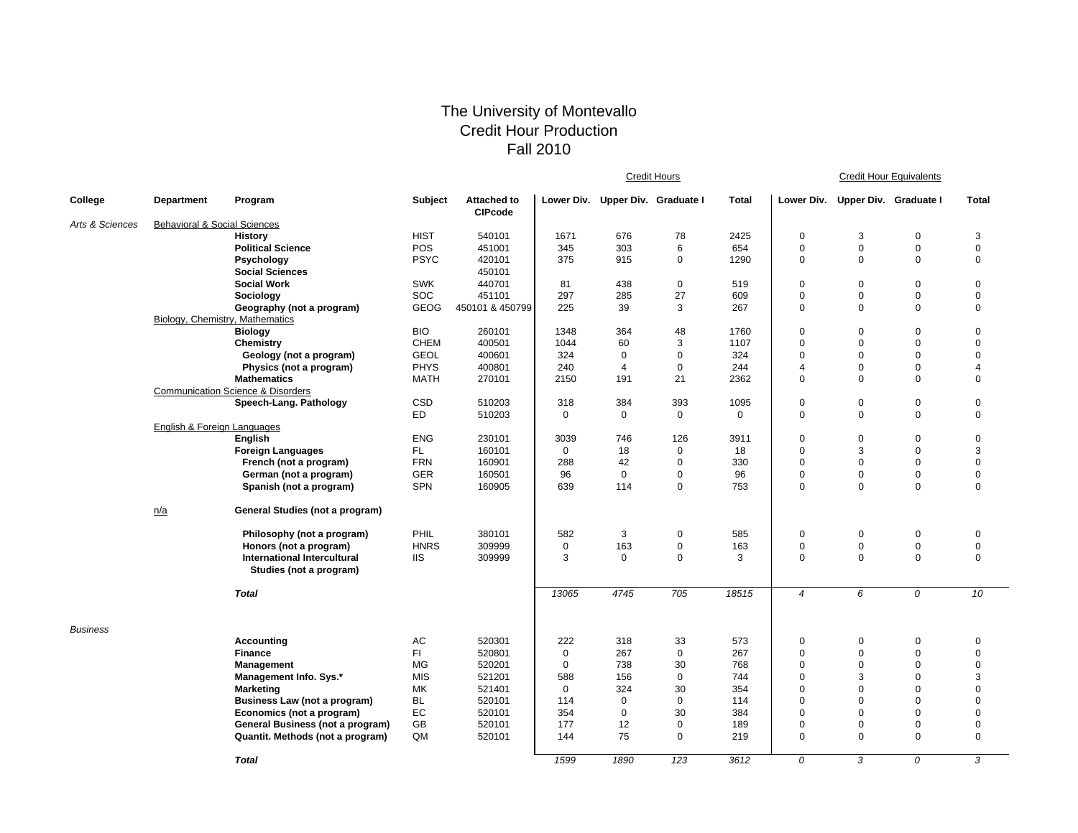## The University of Montevallo Credit Hour Production Fall 2010

|                 |                                         |                                                                        |                         |                                      | Credit Hours       |                                  |                   |             | <b>Credit Hour Equivalents</b> |                                  |                            |                  |  |
|-----------------|-----------------------------------------|------------------------------------------------------------------------|-------------------------|--------------------------------------|--------------------|----------------------------------|-------------------|-------------|--------------------------------|----------------------------------|----------------------------|------------------|--|
| College         | Department                              | Program                                                                | <b>Subject</b>          | <b>Attached to</b><br><b>CIPcode</b> |                    | Lower Div. Upper Div. Graduate I |                   | Total       |                                | Lower Div. Upper Div. Graduate I |                            | <b>Total</b>     |  |
| Arts & Sciences | <b>Behavioral &amp; Social Sciences</b> |                                                                        |                         |                                      |                    |                                  |                   |             |                                |                                  |                            |                  |  |
|                 |                                         | <b>History</b>                                                         | <b>HIST</b>             | 540101                               | 1671               | 676                              | 78                | 2425        | $\Omega$                       | 3                                | $\mathbf 0$                | 3                |  |
|                 |                                         | <b>Political Science</b>                                               | POS                     | 451001                               | 345                | 303                              | 6                 | 654         | $\pmb{0}$                      | $\mathbf 0$                      | $\mathbf 0$                | $\mathsf 0$      |  |
|                 |                                         | Psychology                                                             | <b>PSYC</b>             | 420101                               | 375                | 915                              | $\mathbf 0$       | 1290        | $\mathbf 0$                    | $\Omega$                         | $\mathbf 0$                | $\mathbf 0$      |  |
|                 |                                         | <b>Social Sciences</b>                                                 |                         | 450101                               |                    |                                  |                   |             |                                |                                  |                            |                  |  |
|                 |                                         | <b>Social Work</b>                                                     | <b>SWK</b>              | 440701                               | 81                 | 438                              | $\mathbf 0$       | 519         | $\mathbf 0$                    | $\mathbf 0$                      | $\mathbf 0$                | $\mathbf 0$      |  |
|                 |                                         | Sociology                                                              | SOC                     | 451101                               | 297                | 285                              | 27                | 609         | $\mathbf 0$                    | $\mathbf 0$                      | $\mathbf 0$                | $\mathbf 0$      |  |
|                 |                                         | Geography (not a program)                                              | <b>GEOG</b>             | 450101 & 450799                      | 225                | 39                               | 3                 | 267         | $\mathbf 0$                    | $\mathbf 0$                      | $\mathbf 0$                | $\mathbf 0$      |  |
|                 |                                         | Biology, Chemistry, Mathematics                                        |                         |                                      |                    |                                  |                   |             |                                |                                  |                            |                  |  |
|                 |                                         | <b>Biology</b>                                                         | <b>BIO</b>              | 260101                               | 1348               | 364                              | 48                | 1760        | $\mathbf 0$                    | $\mathbf 0$                      | $\mathbf 0$                | 0                |  |
|                 |                                         | Chemistry                                                              | <b>CHEM</b>             | 400501                               | 1044               | 60                               | 3                 | 1107        | $\mathbf 0$                    | $\mathbf 0$                      | $\Omega$                   | $\Omega$         |  |
|                 |                                         | Geology (not a program)                                                | <b>GEOL</b>             | 400601                               | 324                | 0                                | $\mathbf 0$       | 324         | $\mathbf 0$                    | $\mathbf 0$                      | $\mathbf 0$                | $\mathbf 0$      |  |
|                 |                                         | Physics (not a program)                                                | <b>PHYS</b>             | 400801                               | 240                | 4                                | $\mathbf 0$       | 244         | $\overline{4}$                 | $\mathbf 0$                      | $\Omega$                   | $\overline{4}$   |  |
|                 |                                         | <b>Mathematics</b>                                                     | <b>MATH</b>             | 270101                               | 2150               | 191                              | 21                | 2362        | $\mathbf 0$                    | $\mathbf 0$                      | $\mathbf 0$                | 0                |  |
|                 |                                         | <b>Communication Science &amp; Disorders</b><br>Speech-Lang. Pathology | CSD                     | 510203                               |                    | 384                              | 393               | 1095        | $\pmb{0}$                      | $\pmb{0}$                        | $\mathsf 0$                | 0                |  |
|                 |                                         |                                                                        | <b>ED</b>               | 510203                               | 318<br>$\mathbf 0$ | $\mathbf{0}$                     | $\mathbf 0$       | $\mathbf 0$ | $\pmb{0}$                      | $\mathbf 0$                      | $\mathbf 0$                | 0                |  |
|                 | English & Foreign Languages             |                                                                        |                         |                                      |                    |                                  |                   |             |                                |                                  |                            |                  |  |
|                 |                                         | <b>English</b>                                                         | <b>ENG</b>              | 230101                               | 3039               | 746                              | 126               | 3911        | $\mathsf 0$                    | $\pmb{0}$                        | $\mathbf 0$                | $\mathsf 0$      |  |
|                 |                                         | <b>Foreign Languages</b>                                               | FL.                     | 160101                               | $\mathbf 0$        | 18                               | $\mathbf 0$       | 18          | $\mathbf 0$                    | 3                                | 0                          | 3                |  |
|                 |                                         | French (not a program)                                                 | <b>FRN</b>              | 160901                               | 288                | 42                               | $\mathbf 0$       | 330         | $\mathbf 0$                    | $\mathbf 0$                      | $\mathbf 0$                | 0                |  |
|                 |                                         | German (not a program)                                                 | GER                     | 160501                               | 96                 | $\mathbf{0}$                     | $\mathbf 0$       | 96          | $\mathbf 0$                    | $\mathbf 0$                      | 0                          | $\mathbf 0$      |  |
|                 |                                         | Spanish (not a program)                                                | <b>SPN</b>              | 160905                               | 639                | 114                              | $\mathbf{0}$      | 753         | $\mathbf 0$                    | $\Omega$                         | $\Omega$                   | $\mathbf 0$      |  |
|                 |                                         |                                                                        |                         |                                      |                    |                                  |                   |             |                                |                                  |                            |                  |  |
|                 | n/a                                     | General Studies (not a program)                                        |                         |                                      |                    |                                  |                   |             |                                |                                  |                            |                  |  |
|                 |                                         | Philosophy (not a program)                                             | PHIL                    | 380101                               | 582                | 3                                | $\mathbf 0$       | 585         | $\mathbf 0$                    | 0                                | $\mathbf 0$                | $\mathbf 0$      |  |
|                 |                                         | Honors (not a program)                                                 | <b>HNRS</b>             | 309999                               | $\mathbf 0$        | 163                              | $\mathsf 0$       | 163         | $\pmb{0}$                      | $\pmb{0}$                        | $\mathbf 0$                | $\mathbf 0$      |  |
|                 |                                         | <b>International Intercultural</b>                                     | <b>IIS</b>              | 309999                               | 3                  | $\mathbf{0}$                     | $\mathbf 0$       | 3           | $\mathbf 0$                    | $\mathbf 0$                      | $\mathbf 0$                | $\mathbf 0$      |  |
|                 |                                         | Studies (not a program)                                                |                         |                                      |                    |                                  |                   |             |                                |                                  |                            |                  |  |
|                 |                                         | <b>Total</b>                                                           |                         |                                      | 13065              | 4745                             | 705               | 18515       | $\overline{4}$                 | 6                                | 0                          | 10               |  |
|                 |                                         |                                                                        |                         |                                      |                    |                                  |                   |             |                                |                                  |                            |                  |  |
| <b>Business</b> |                                         |                                                                        |                         |                                      |                    |                                  |                   |             |                                |                                  |                            |                  |  |
|                 |                                         | Accounting                                                             | AC                      | 520301                               | 222                | 318                              | 33                | 573         | $\mathbf 0$                    | $\pmb{0}$                        | $\mathbf 0$                | $\mathbf 0$      |  |
|                 |                                         | <b>Finance</b>                                                         | FI.                     | 520801                               | $\mathbf 0$        | 267                              | $\mathbf 0$       | 267         | $\Omega$<br>$\Omega$           | $\mathbf 0$                      | $\mathbf 0$                | $\mathbf 0$      |  |
|                 |                                         | Management                                                             | <b>MG</b><br><b>MIS</b> | 520201<br>521201                     | $\mathbf 0$<br>588 | 738<br>156                       | 30<br>$\mathbf 0$ | 768<br>744  | $\mathbf 0$                    | $\mathbf 0$<br>3                 | $\mathbf 0$<br>$\mathbf 0$ | $\mathbf 0$<br>3 |  |
|                 |                                         | Management Info. Sys.*<br><b>Marketing</b>                             | MK                      | 521401                               | $\mathbf 0$        | 324                              | 30                | 354         | $\Omega$                       | $\mathbf 0$                      | $\mathbf 0$                | $\Omega$         |  |
|                 |                                         | Business Law (not a program)                                           | BL.                     | 520101                               | 114                | $\mathbf 0$                      | $\mathbf 0$       | 114         | $\mathbf 0$                    | $\mathbf 0$                      | $\mathbf 0$                | $\Omega$         |  |
|                 |                                         | Economics (not a program)                                              | EC                      | 520101                               | 354                | $\mathbf 0$                      | 30                | 384         | $\Omega$                       | $\mathbf 0$                      | $\mathbf 0$                | $\Omega$         |  |
|                 |                                         | General Business (not a program)                                       | GB                      | 520101                               | 177                | 12                               | $\mathbf 0$       | 189         | $\Omega$                       | $\mathbf 0$                      | $\mathbf 0$                | $\mathbf 0$      |  |
|                 |                                         | Quantit. Methods (not a program)                                       | QM                      | 520101                               | 144                | 75                               | $\mathbf 0$       | 219         | $\mathbf 0$                    | $\mathbf 0$                      | $\mathbf 0$                | 0                |  |
|                 |                                         |                                                                        |                         |                                      |                    |                                  |                   |             |                                |                                  |                            |                  |  |
|                 |                                         | <b>Total</b>                                                           |                         |                                      | 1599               | 1890                             | 123               | 3612        | 0                              | 3                                | 0                          | 3                |  |